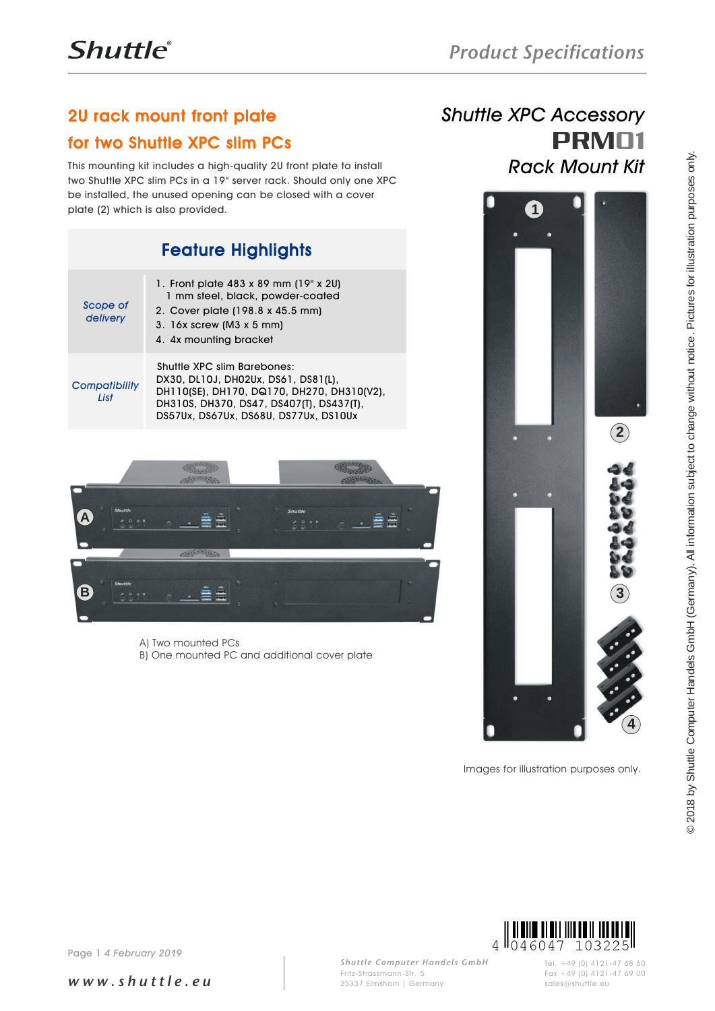## 2U rack mount front plate

### for two Shuttle XPC slim PCs

This mounting kit includes a high-quality 2U front plate to install two Shuttle XPC slim PCs in a 19" server rack. Should only one XPC be installed, the unused opening can be closed with a cover plate (2) which is also provided.

| <b>Feature Highlights</b> |                                                                                                                                                                                                       |
|---------------------------|-------------------------------------------------------------------------------------------------------------------------------------------------------------------------------------------------------|
| Scope of<br>delivery      | 1. Front plate 483 x 89 mm (19" x 2U)<br>1 mm steel, black, powder-coated<br>2. Cover plate (198.8 x 45.5 mm)<br>3. $16x$ screw (M3 $x$ 5 mm)<br>4. 4x mounting bracket                               |
| Compatibility<br>List     | Shuttle XPC slim Barebones:<br>DX30, DL10J, DH02Ux, DS61, DS81(L),<br>DH110(SE), DH170, DQ170, DH270, DH310(V2),<br>DH310S, DH370, DS47, DS407(T), DS437(T),<br>DS57Ux, DS67Ux, DS68U, DS77Ux, DS10Ux |



A) Two mounted PCs B) One mounted PC and additional cover plate

# *Shuttle XPC Accessory* PRM01 *Rack Mount Kit*



Images for illustration purposes only.



*w w w . s h u t t l e . e u*

*Shuttle Computer Handels GmbH* Fritz -Strassmann-Str. 5 25337 Elmshorn | Germany

Tel. +49 (0) 4121-47 68 60 Fax +49 (0) 4121-47 69 00 sales@shuttle.eu